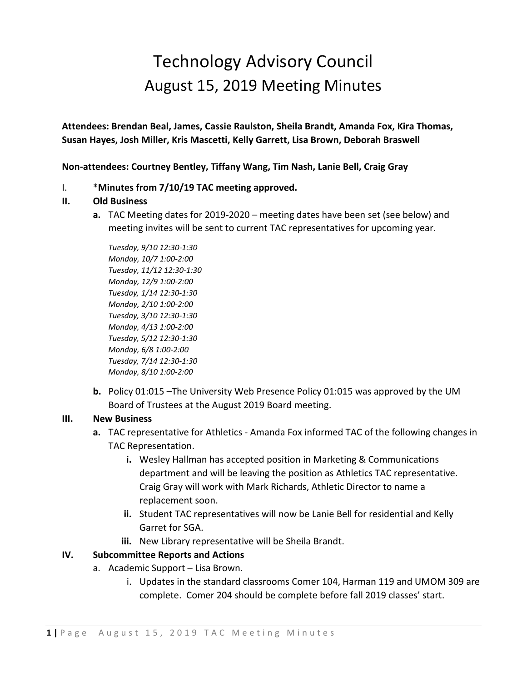# Technology Advisory Council August 15, 2019 Meeting Minutes

**Attendees: Brendan Beal, James, Cassie Raulston, Sheila Brandt, Amanda Fox, Kira Thomas, Susan Hayes, Josh Miller, Kris Mascetti, Kelly Garrett, Lisa Brown, Deborah Braswell**

**Non-attendees: Courtney Bentley, Tiffany Wang, Tim Nash, Lanie Bell, Craig Gray**

# I. \***Minutes from 7/10/19 TAC meeting approved.**

# **II. Old Business**

**a.** TAC Meeting dates for 2019-2020 – meeting dates have been set (see below) and meeting invites will be sent to current TAC representatives for upcoming year.

*Tuesday, 9/10 12:30-1:30 Monday, 10/7 1:00-2:00 Tuesday, 11/12 12:30-1:30 Monday, 12/9 1:00-2:00 Tuesday, 1/14 12:30-1:30 Monday, 2/10 1:00-2:00 Tuesday, 3/10 12:30-1:30 Monday, 4/13 1:00-2:00 Tuesday, 5/12 12:30-1:30 Monday, 6/8 1:00-2:00 Tuesday, 7/14 12:30-1:30 Monday, 8/10 1:00-2:00*

**b.** Policy 01:015 –The University Web Presence Policy 01:015 was approved by the UM Board of Trustees at the August 2019 Board meeting.

### **III. New Business**

- **a.** TAC representative for Athletics Amanda Fox informed TAC of the following changes in TAC Representation.
	- **i.** Wesley Hallman has accepted position in Marketing & Communications department and will be leaving the position as Athletics TAC representative. Craig Gray will work with Mark Richards, Athletic Director to name a replacement soon.
	- **ii.** Student TAC representatives will now be Lanie Bell for residential and Kelly Garret for SGA.
	- **iii.** New Library representative will be Sheila Brandt.

### **IV. Subcommittee Reports and Actions**

- a. Academic Support Lisa Brown.
	- i. Updates in the standard classrooms Comer 104, Harman 119 and UMOM 309 are complete. Comer 204 should be complete before fall 2019 classes' start.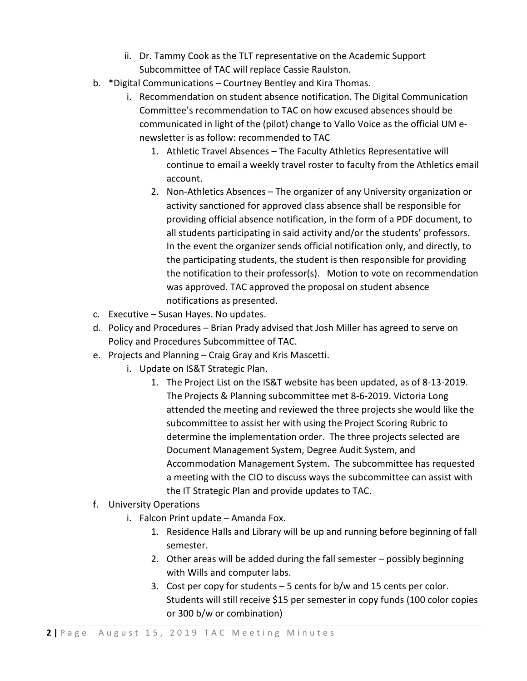- ii. Dr. Tammy Cook as the TLT representative on the Academic Support Subcommittee of TAC will replace Cassie Raulston.
- b. \*Digital Communications Courtney Bentley and Kira Thomas.
	- i. Recommendation on student absence notification. The Digital Communication Committee's recommendation to TAC on how excused absences should be communicated in light of the (pilot) change to Vallo Voice as the official UM enewsletter is as follow: recommended to TAC
		- 1. Athletic Travel Absences The Faculty Athletics Representative will continue to email a weekly travel roster to faculty from the Athletics email account.
		- 2. Non-Athletics Absences The organizer of any University organization or activity sanctioned for approved class absence shall be responsible for providing official absence notification, in the form of a PDF document, to all students participating in said activity and/or the students' professors. In the event the organizer sends official notification only, and directly, to the participating students, the student is then responsible for providing the notification to their professor(s). Motion to vote on recommendation was approved. TAC approved the proposal on student absence notifications as presented.
- c. Executive Susan Hayes. No updates.
- d. Policy and Procedures Brian Prady advised that Josh Miller has agreed to serve on Policy and Procedures Subcommittee of TAC.
- e. Projects and Planning Craig Gray and Kris Mascetti.
	- i. Update on IS&T Strategic Plan.
		- 1. The Project List on the IS&T website has been updated, as of 8-13-2019. The Projects & Planning subcommittee met 8-6-2019. Victoria Long attended the meeting and reviewed the three projects she would like the subcommittee to assist her with using the Project Scoring Rubric to determine the implementation order. The three projects selected are Document Management System, Degree Audit System, and Accommodation Management System. The subcommittee has requested a meeting with the CIO to discuss ways the subcommittee can assist with the IT Strategic Plan and provide updates to TAC.
- f. University Operations
	- i. Falcon Print update Amanda Fox.
		- 1. Residence Halls and Library will be up and running before beginning of fall semester.
		- 2. Other areas will be added during the fall semester possibly beginning with Wills and computer labs.
		- 3. Cost per copy for students 5 cents for b/w and 15 cents per color. Students will still receive \$15 per semester in copy funds (100 color copies or 300 b/w or combination)